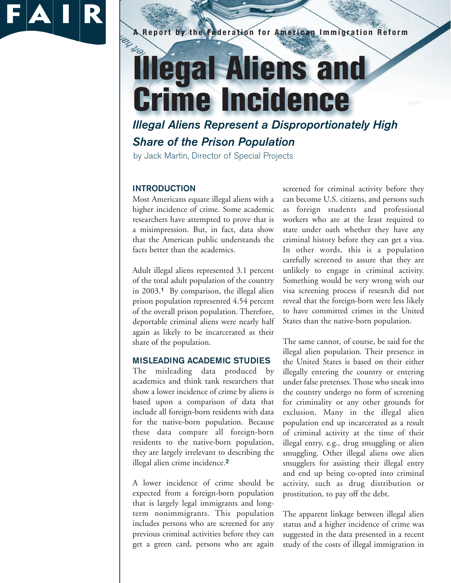

# **A Report by the Federation for American Immigration Reform Illegal Aliens and Crime Incidence**

*Illegal Aliens Represent a Disproportionately High Share of the Prison Population*

by Jack Martin, Director of Special Projects

## **INTRODUCTION**

Most Americans equate illegal aliens with a higher incidence of crime. Some academic researchers have attempted to prove that is a misimpression. But, in fact, data show that the American public understands the facts better than the academics.

Adult illegal aliens represented 3.1 percent of the total adult population of the country in 2003.**<sup>1</sup>** By comparison, the illegal alien prison population represented 4.54 percent of the overall prison population. Therefore, deportable criminal aliens were nearly half again as likely to be incarcerated as their share of the population.

## **MISLEADING ACADEMIC STUDIES**

The misleading data produced by academics and think tank researchers that show a lower incidence of crime by aliens is based upon a comparison of data that include all foreign-born residents with data for the native-born population. Because these data compare all foreign-born residents to the native-born population, they are largely irrelevant to describing the illegal alien crime incidence.**<sup>2</sup>**

A lower incidence of crime should be expected from a foreign-born population that is largely legal immigrants and longterm nonimmigrants. This population includes persons who are screened for any previous criminal activities before they can get a green card, persons who are again

screened for criminal activity before they can become U.S. citizens, and persons such as foreign students and professional workers who are at the least required to state under oath whether they have any criminal history before they can get a visa. In other words, this is a population carefully screened to assure that they are unlikely to engage in criminal activity. Something would be very wrong with our visa screening process if research did not reveal that the foreign-born were less likely to have committed crimes in the United States than the native-born population.

The same cannot, of course, be said for the illegal alien population. Their presence in the United States is based on their either illegally entering the country or entering under false pretenses. Those who sneak into the country undergo no form of screening for criminality or any other grounds for exclusion. Many in the illegal alien population end up incarcerated as a result of criminal activity at the time of their illegal entry, e.g., drug smuggling or alien smuggling. Other illegal aliens owe alien smugglers for assisting their illegal entry and end up being co-opted into criminal activity, such as drug distribution or prostitution, to pay off the debt.

The apparent linkage between illegal alien status and a higher incidence of crime was suggested in the data presented in a recent study of the costs of illegal immigration in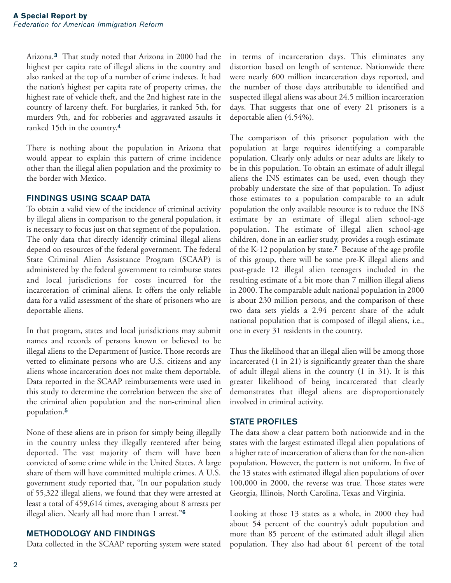Arizona.**<sup>3</sup>** That study noted that Arizona in 2000 had the highest per capita rate of illegal aliens in the country and also ranked at the top of a number of crime indexes. It had the nation's highest per capita rate of property crimes, the highest rate of vehicle theft, and the 2nd highest rate in the country of larceny theft. For burglaries, it ranked 5th, for murders 9th, and for robberies and aggravated assaults it ranked 15th in the country.**<sup>4</sup>**

There is nothing about the population in Arizona that would appear to explain this pattern of crime incidence other than the illegal alien population and the proximity to the border with Mexico.

### **FINDINGS USING SCAAP DATA**

To obtain a valid view of the incidence of criminal activity by illegal aliens in comparison to the general population, it is necessary to focus just on that segment of the population. The only data that directly identify criminal illegal aliens depend on resources of the federal government. The federal State Criminal Alien Assistance Program (SCAAP) is administered by the federal government to reimburse states and local jurisdictions for costs incurred for the incarceration of criminal aliens. It offers the only reliable data for a valid assessment of the share of prisoners who are deportable aliens.

In that program, states and local jurisdictions may submit names and records of persons known or believed to be illegal aliens to the Department of Justice. Those records are vetted to eliminate persons who are U.S. citizens and any aliens whose incarceration does not make them deportable. Data reported in the SCAAP reimbursements were used in this study to determine the correlation between the size of the criminal alien population and the non-criminal alien population.**<sup>5</sup>**

None of these aliens are in prison for simply being illegally in the country unless they illegally reentered after being deported. The vast majority of them will have been convicted of some crime while in the United States. A large share of them will have committed multiple crimes. A U.S. government study reported that, "In our population study of 55,322 illegal aliens, we found that they were arrested at least a total of 459,614 times, averaging about 8 arrests per illegal alien. Nearly all had more than 1 arrest."**<sup>6</sup>**

#### **METHODOLOGY AND FINDINGS**

Data collected in the SCAAP reporting system were stated

in terms of incarceration days. This eliminates any distortion based on length of sentence. Nationwide there were nearly 600 million incarceration days reported, and the number of those days attributable to identified and suspected illegal aliens was about 24.5 million incarceration days. That suggests that one of every 21 prisoners is a deportable alien (4.54%).

The comparison of this prisoner population with the population at large requires identifying a comparable population. Clearly only adults or near adults are likely to be in this population. To obtain an estimate of adult illegal aliens the INS estimates can be used, even though they probably understate the size of that population. To adjust those estimates to a population comparable to an adult population the only available resource is to reduce the INS estimate by an estimate of illegal alien school-age population. The estimate of illegal alien school-age children, done in an earlier study, provides a rough estimate of the K-12 population by state.**<sup>7</sup>** Because of the age profile of this group, there will be some pre-K illegal aliens and post-grade 12 illegal alien teenagers included in the resulting estimate of a bit more than 7 million illegal aliens in 2000. The comparable adult national population in 2000 is about 230 million persons, and the comparison of these two data sets yields a 2.94 percent share of the adult national population that is composed of illegal aliens, i.e., one in every 31 residents in the country.

Thus the likelihood that an illegal alien will be among those incarcerated (1 in 21) is significantly greater than the share of adult illegal aliens in the country (1 in 31). It is this greater likelihood of being incarcerated that clearly demonstrates that illegal aliens are disproportionately involved in criminal activity.

#### **STATE PROFILES**

The data show a clear pattern both nationwide and in the states with the largest estimated illegal alien populations of a higher rate of incarceration of aliens than for the non-alien population. However, the pattern is not uniform. In five of the 13 states with estimated illegal alien populations of over 100,000 in 2000, the reverse was true. Those states were Georgia, Illinois, North Carolina, Texas and Virginia.

Looking at those 13 states as a whole, in 2000 they had about 54 percent of the country's adult population and more than 85 percent of the estimated adult illegal alien population. They also had about 61 percent of the total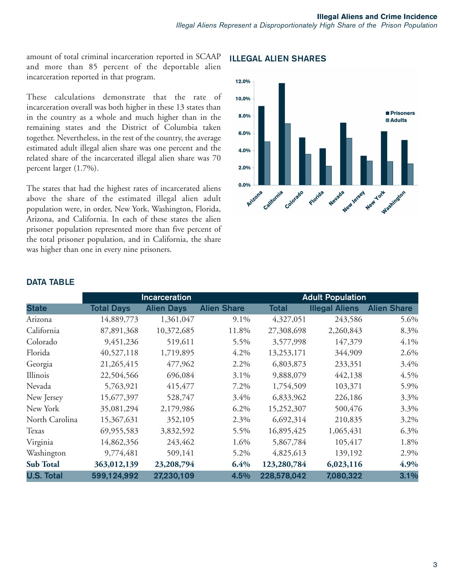amount of total criminal incarceration reported in SCAAP and more than 85 percent of the deportable alien incarceration reported in that program.

These calculations demonstrate that the rate of incarceration overall was both higher in these 13 states than in the country as a whole and much higher than in the remaining states and the District of Columbia taken together. Nevertheless, in the rest of the country, the average estimated adult illegal alien share was one percent and the related share of the incarcerated illegal alien share was 70 percent larger (1.7%).

The states that had the highest rates of incarcerated aliens above the share of the estimated illegal alien adult population were, in order, New York, Washington, Florida, Arizona, and California. In each of these states the alien prisoner population represented more than five percent of the total prisoner population, and in California, the share was higher than one in every nine prisoners.

#### 12.0% 10.0% Prisoners 8.0% **Adults**  $6.0%$ 4.0% 2.0%  $0.0%$ California Arizona Colorado **Hew York** Florida Nevada **Mashington** New Jersey

## **ILLEGAL ALIEN SHARES**

|                   | <b>Incarceration</b> |                   |                    | <b>Adult Population</b> |                       |                    |
|-------------------|----------------------|-------------------|--------------------|-------------------------|-----------------------|--------------------|
| <b>State</b>      | <b>Total Days</b>    | <b>Alien Days</b> | <b>Alien Share</b> | <b>Total</b>            | <b>Illegal Aliens</b> | <b>Alien Share</b> |
| Arizona           | 14,889,773           | 1,361,047         | 9.1%               | 4,327,051               | 243,586               | 5.6%               |
| California        | 87,891,368           | 10,372,685        | 11.8%              | 27,308,698              | 2,260,843             | 8.3%               |
| Colorado          | 9,451,236            | 519,611           | 5.5%               | 3,577,998               | 147,379               | 4.1%               |
| Florida           | 40,527,118           | 1,719,895         | 4.2%               | 13,253,171              | 344,909               | 2.6%               |
| Georgia           | 21,265,415           | 477,962           | 2.2%               | 6,803,873               | 233,351               | 3.4%               |
| Illinois          | 22,504,566           | 696,084           | $3.1\%$            | 9,888,079               | 442,138               | 4.5%               |
| Nevada            | 5,763,921            | 415,477           | 7.2%               | 1,754,509               | 103,371               | 5.9%               |
| New Jersey        | 15,677,397           | 528,747           | 3.4%               | 6,833,962               | 226,186               | 3.3%               |
| New York          | 35,081,294           | 2,179,986         | $6.2\%$            | 15,252,307              | 500,476               | 3.3%               |
| North Carolina    | 15,367,631           | 352,105           | 2.3%               | 6,692,314               | 210,835               | 3.2%               |
| Texas             | 69,955,583           | 3,832,592         | 5.5%               | 16,895,425              | 1,065,431             | 6.3%               |
| Virginia          | 14,862,356           | 243,462           | 1.6%               | 5,867,784               | 105,417               | 1.8%               |
| Washington        | 9,774,481            | 509,141           | 5.2%               | 4,825,613               | 139,192               | 2.9%               |
| <b>Sub Total</b>  | 363,012,139          | 23,208,794        | 6.4%               | 123,280,784             | 6,023,116             | 4.9%               |
| <b>U.S. Total</b> | 599,124,992          | 27,230,109        | 4.5%               | 228,578,042             | 7,080,322             | 3.1%               |

## **DATA TABLE**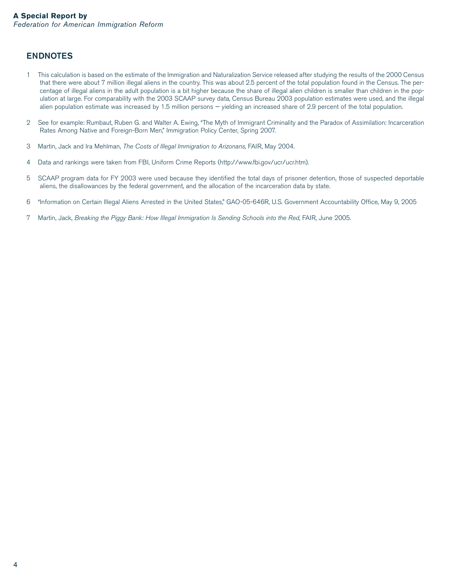## **ENDNOTES**

- 1 This calculation is based on the estimate of the Immigration and Naturalization Service released after studying the results of the 2000 Census that there were about 7 million illegal aliens in the country. This was about 2.5 percent of the total population found in the Census. The percentage of illegal aliens in the adult population is a bit higher because the share of illegal alien children is smaller than children in the population at large. For comparability with the 2003 SCAAP survey data, Census Bureau 2003 population estimates were used, and the illegal alien population estimate was increased by 1.5 million persons — yielding an increased share of 2.9 percent of the total population.
- 2 See for example: Rumbaut, Ruben G. and Walter A. Ewing, "The Myth of Immigrant Criminality and the Paradox of Assimilation: Incarceration Rates Among Native and Foreign-Born Men," Immigration Policy Center, Spring 2007.
- 3 Martin, Jack and Ira Mehlman, The Costs of Illegal Immigration to Arizonans, FAIR, May 2004.
- 4 Data and rankings were taken from FBI, Uniform Crime Reports (http://www.fbi.gov/ucr/ucr.htm).
- 5 SCAAP program data for FY 2003 were used because they identified the total days of prisoner detention, those of suspected deportable aliens, the disallowances by the federal government, and the allocation of the incarceration data by state.
- 6 "Information on Certain Illegal Aliens Arrested in the United States," GAO-05-646R, U.S. Government Accountability Office, May 9, 2005
- 7 Martin, Jack, Breaking the Piggy Bank: How Illegal Immigration Is Sending Schools into the Red, FAIR, June 2005.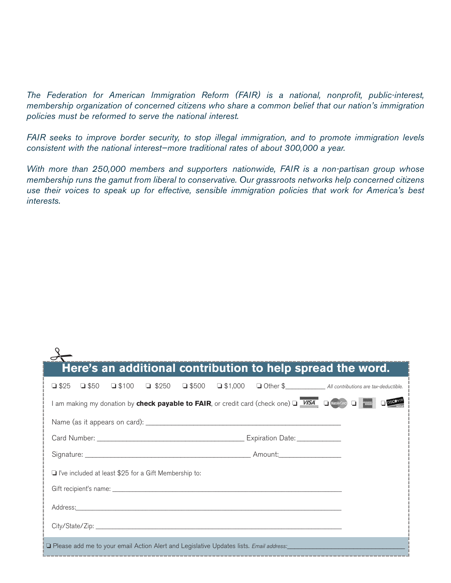The Federation for American Immigration Reform (FAIR) is a national, nonprofit, public-interest, membership organization of concerned citizens who share a common belief that our nation's immigration policies must be reformed to serve the national interest.

FAIR seeks to improve border security, to stop illegal immigration, and to promote immigration levels consistent with the national interest—more traditional rates of about 300,000 a year.

With more than 250,000 members and supporters nationwide, FAIR is a non-partisan group whose membership runs the gamut from liberal to conservative. Our grassroots networks help concerned citizens use their voices to speak up for effective, sensible immigration policies that work for America's best interests.

| Here's an additional contribution to help spread the word.                                                      |  |  |  |  |  |  |  |  |
|-----------------------------------------------------------------------------------------------------------------|--|--|--|--|--|--|--|--|
| $\Box$ \$25                                                                                                     |  |  |  |  |  |  |  |  |
| I am making my donation by check payable to FAIR, or credit card (check one) D VISA D Mastercard D              |  |  |  |  |  |  |  |  |
|                                                                                                                 |  |  |  |  |  |  |  |  |
|                                                                                                                 |  |  |  |  |  |  |  |  |
|                                                                                                                 |  |  |  |  |  |  |  |  |
| $\Box$ I've included at least \$25 for a Gift Membership to:                                                    |  |  |  |  |  |  |  |  |
|                                                                                                                 |  |  |  |  |  |  |  |  |
| Address: Address: Address: Address: Address: Address: Address: Address: Address: Address: Address: A            |  |  |  |  |  |  |  |  |
|                                                                                                                 |  |  |  |  |  |  |  |  |
| O Please add me to your email Action Alert and Legislative Updates lists. Email address: North March 1999 and M |  |  |  |  |  |  |  |  |
|                                                                                                                 |  |  |  |  |  |  |  |  |